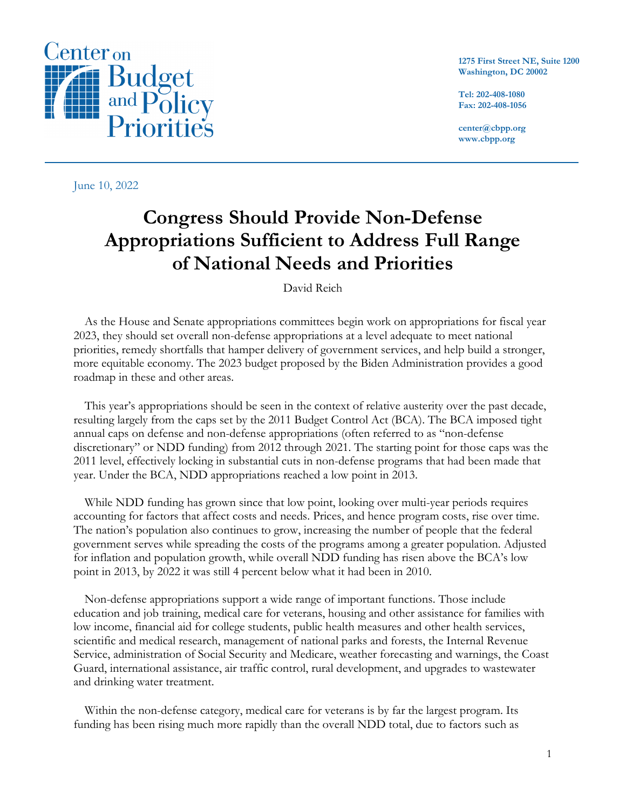

**1275 First Street NE, Suite 1200 Washington, DC 20002**

**Tel: 202-408-1080 Fax: 202-408-1056**

**center@cbpp.org www.cbpp.org**

June 10, 2022

# **Congress Should Provide Non-Defense Appropriations Sufficient to Address Full Range of National Needs and Priorities**

David Reich

As the House and Senate appropriations committees begin work on appropriations for fiscal year 2023, they should set overall non-defense appropriations at a level adequate to meet national priorities, remedy shortfalls that hamper delivery of government services, and help build a stronger, more equitable economy. The 2023 budget proposed by the Biden Administration provides a good roadmap in these and other areas.

This year's appropriations should be seen in the context of relative austerity over the past decade, resulting largely from the caps set by the 2011 Budget Control Act (BCA). The BCA imposed tight annual caps on defense and non-defense appropriations (often referred to as "non-defense discretionary" or NDD funding) from 2012 through 2021. The starting point for those caps was the 2011 level, effectively locking in substantial cuts in non-defense programs that had been made that year. Under the BCA, NDD appropriations reached a low point in 2013.

While NDD funding has grown since that low point, looking over multi-year periods requires accounting for factors that affect costs and needs. Prices, and hence program costs, rise over time. The nation's population also continues to grow, increasing the number of people that the federal government serves while spreading the costs of the programs among a greater population. Adjusted for inflation and population growth, while overall NDD funding has risen above the BCA's low point in 2013, by 2022 it was still 4 percent below what it had been in 2010.

Non-defense appropriations support a wide range of important functions. Those include education and job training, medical care for veterans, housing and other assistance for families with low income, financial aid for college students, public health measures and other health services, scientific and medical research, management of national parks and forests, the Internal Revenue Service, administration of Social Security and Medicare, weather forecasting and warnings, the Coast Guard, international assistance, air traffic control, rural development, and upgrades to wastewater and drinking water treatment.

Within the non-defense category, medical care for veterans is by far the largest program. Its funding has been rising much more rapidly than the overall NDD total, due to factors such as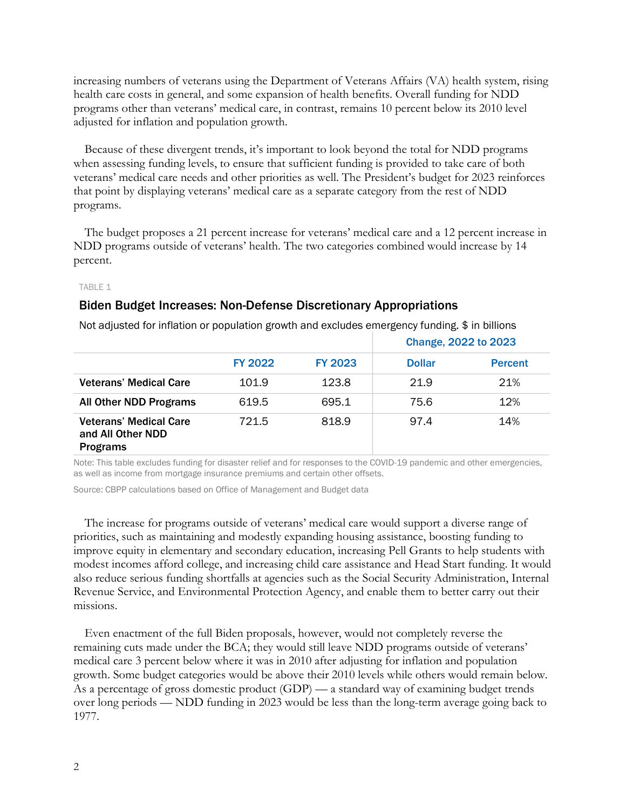increasing numbers of veterans using the Department of Veterans Affairs (VA) health system, rising health care costs in general, and some expansion of health benefits. Overall funding for NDD programs other than veterans' medical care, in contrast, remains 10 percent below its 2010 level adjusted for inflation and population growth.

Because of these divergent trends, it's important to look beyond the total for NDD programs when assessing funding levels, to ensure that sufficient funding is provided to take care of both veterans' medical care needs and other priorities as well. The President's budget for 2023 reinforces that point by displaying veterans' medical care as a separate category from the rest of NDD programs.

The budget proposes a 21 percent increase for veterans' medical care and a 12 percent increase in NDD programs outside of veterans' health. The two categories combined would increase by 14 percent.

#### TABLE 1

### Biden Budget Increases: Non-Defense Discretionary Appropriations

|                                                                       |                |                | Change, 2022 to 2023 |                |
|-----------------------------------------------------------------------|----------------|----------------|----------------------|----------------|
|                                                                       | <b>FY 2022</b> | <b>FY 2023</b> | <b>Dollar</b>        | <b>Percent</b> |
| <b>Veterans' Medical Care</b>                                         | 101.9          | 123.8          | 21.9                 | 21%            |
| <b>All Other NDD Programs</b>                                         | 619.5          | 695.1          | 75.6                 | 12%            |
| <b>Veterans' Medical Care</b><br>and All Other NDD<br><b>Programs</b> | 721.5          | 818.9          | 97.4                 | 14%            |

Not adjusted for inflation or population growth and excludes emergency funding. \$ in billions

Note: This table excludes funding for disaster relief and for responses to the COVID-19 pandemic and other emergencies, as well as income from mortgage insurance premiums and certain other offsets.

Source: CBPP calculations based on Office of Management and Budget data

The increase for programs outside of veterans' medical care would support a diverse range of priorities, such as maintaining and modestly expanding housing assistance, boosting funding to improve equity in elementary and secondary education, increasing Pell Grants to help students with modest incomes afford college, and increasing child care assistance and Head Start funding. It would also reduce serious funding shortfalls at agencies such as the Social Security Administration, Internal Revenue Service, and Environmental Protection Agency, and enable them to better carry out their missions.

Even enactment of the full Biden proposals, however, would not completely reverse the remaining cuts made under the BCA; they would still leave NDD programs outside of veterans' medical care 3 percent below where it was in 2010 after adjusting for inflation and population growth. Some budget categories would be above their 2010 levels while others would remain below. As a percentage of gross domestic product (GDP) — a standard way of examining budget trends over long periods — NDD funding in 2023 would be less than the long-term average going back to 1977.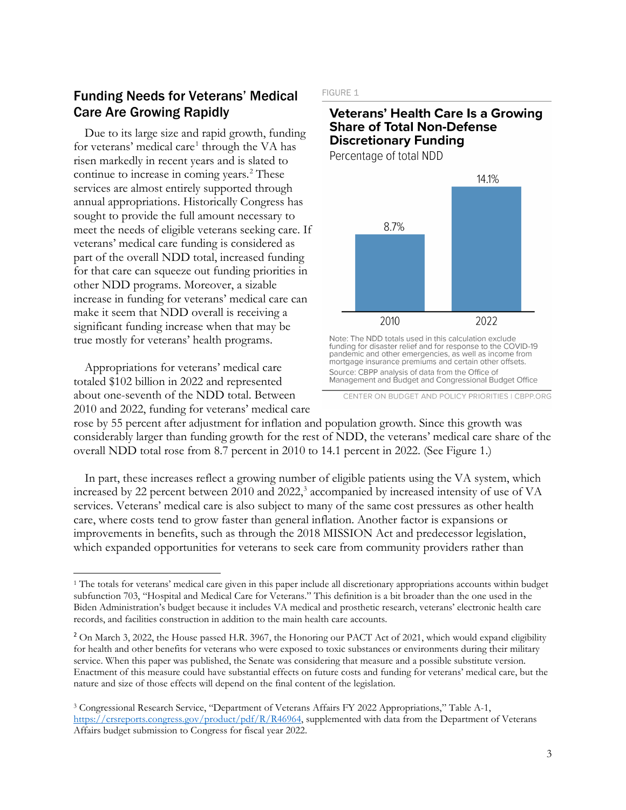# Funding Needs for Veterans' Medical Care Are Growing Rapidly

Due to its large size and rapid growth, funding for veterans' medical care<sup>[1](#page-2-0)</sup> through the VA has risen markedly in recent years and is slated to continue to increase in coming years.<sup>[2](#page-2-1)</sup> These services are almost entirely supported through annual appropriations. Historically Congress has sought to provide the full amount necessary to meet the needs of eligible veterans seeking care. If veterans' medical care funding is considered as part of the overall NDD total, increased funding for that care can squeeze out funding priorities in other NDD programs. Moreover, a sizable increase in funding for veterans' medical care can make it seem that NDD overall is receiving a significant funding increase when that may be true mostly for veterans' health programs.

Appropriations for veterans' medical care totaled \$102 billion in 2022 and represented about one-seventh of the NDD total. Between 2010 and 2022, funding for veterans' medical care

#### FIGURE 1

### **Veterans' Health Care Is a Growing Share of Total Non-Defense Discretionary Funding**

Percentage of total NDD



Note: The NDD totals used in this calculation exclude<br>funding for disaster relief and for response to the COVID-19 pandemic and other emergencies, as well as income from mortgage insurance premiums and certain other offsets. Source: CBPP analysis of data from the Office of Management and Budget and Congressional Budget Office

rose by 55 percent after adjustment for inflation and population growth. Since this growth was considerably larger than funding growth for the rest of NDD, the veterans' medical care share of the overall NDD total rose from 8.7 percent in 2010 to 14.1 percent in 2022. (See Figure 1.)

In part, these increases reflect a growing number of eligible patients using the VA system, which increased by 22 percent between 2010 and 2022, [3](#page-2-2) accompanied by increased intensity of use of VA services. Veterans' medical care is also subject to many of the same cost pressures as other health care, where costs tend to grow faster than general inflation. Another factor is expansions or improvements in benefits, such as through the 2018 MISSION Act and predecessor legislation, which expanded opportunities for veterans to seek care from community providers rather than

CENTER ON BUDGET AND POLICY PRIORITIES I CBPP.ORG

<span id="page-2-0"></span><sup>1</sup> The totals for veterans' medical care given in this paper include all discretionary appropriations accounts within budget subfunction 703, "Hospital and Medical Care for Veterans." This definition is a bit broader than the one used in the Biden Administration's budget because it includes VA medical and prosthetic research, veterans' electronic health care records, and facilities construction in addition to the main health care accounts.

<span id="page-2-1"></span><sup>&</sup>lt;sup>2</sup> On March 3, 2022, the House passed H.R. 3967, the Honoring our PACT Act of 2021, which would expand eligibility for health and other benefits for veterans who were exposed to toxic substances or environments during their military service. When this paper was published, the Senate was considering that measure and a possible substitute version. Enactment of this measure could have substantial effects on future costs and funding for veterans' medical care, but the nature and size of those effects will depend on the final content of the legislation.

<span id="page-2-2"></span><sup>3</sup> Congressional Research Service, "Department of Veterans Affairs FY 2022 Appropriations," Table A-1, [https://crsreports.congress.gov/product/pdf/R/R46964,](https://crsreports.congress.gov/product/pdf/R/R46964) supplemented with data from the Department of Veterans Affairs budget submission to Congress for fiscal year 2022.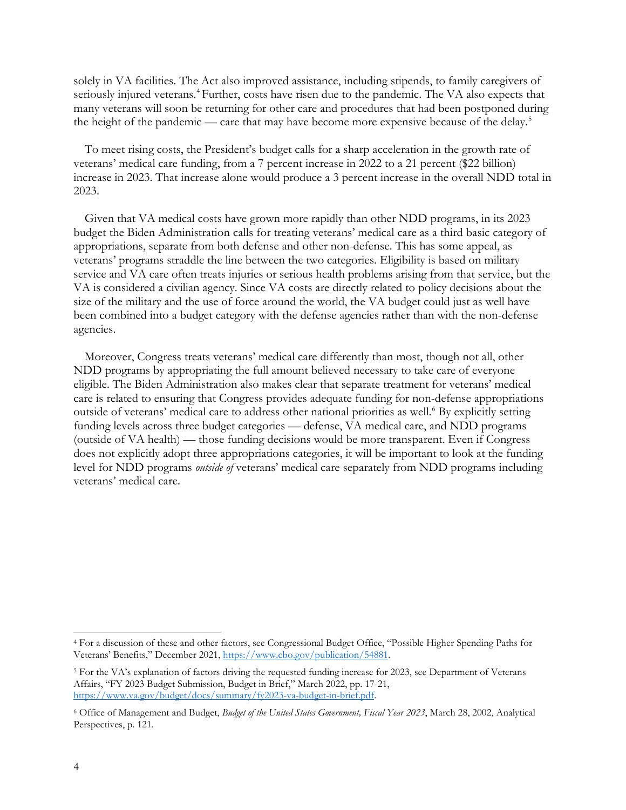solely in VA facilities. The Act also improved assistance, including stipends, to family caregivers of seriously injured veterans.<sup>[4](#page-3-0)</sup> Further, costs have risen due to the pandemic. The VA also expects that many veterans will soon be returning for other care and procedures that had been postponed during the height of the pandemic — care that may have become more expensive because of the delay.<sup>[5](#page-3-1)</sup>

To meet rising costs, the President's budget calls for a sharp acceleration in the growth rate of veterans' medical care funding, from a 7 percent increase in 2022 to a 21 percent (\$22 billion) increase in 2023. That increase alone would produce a 3 percent increase in the overall NDD total in 2023.

Given that VA medical costs have grown more rapidly than other NDD programs, in its 2023 budget the Biden Administration calls for treating veterans' medical care as a third basic category of appropriations, separate from both defense and other non-defense. This has some appeal, as veterans' programs straddle the line between the two categories. Eligibility is based on military service and VA care often treats injuries or serious health problems arising from that service, but the VA is considered a civilian agency. Since VA costs are directly related to policy decisions about the size of the military and the use of force around the world, the VA budget could just as well have been combined into a budget category with the defense agencies rather than with the non-defense agencies.

Moreover, Congress treats veterans' medical care differently than most, though not all, other NDD programs by appropriating the full amount believed necessary to take care of everyone eligible. The Biden Administration also makes clear that separate treatment for veterans' medical care is related to ensuring that Congress provides adequate funding for non-defense appropriations outside of veterans' medical care to address other national priorities as well.<sup>[6](#page-3-2)</sup> By explicitly setting funding levels across three budget categories — defense, VA medical care, and NDD programs (outside of VA health) — those funding decisions would be more transparent. Even if Congress does not explicitly adopt three appropriations categories, it will be important to look at the funding level for NDD programs *outside of* veterans' medical care separately from NDD programs including veterans' medical care.

<span id="page-3-0"></span><sup>4</sup> For a discussion of these and other factors, see Congressional Budget Office, "Possible Higher Spending Paths for Veterans' Benefits," December 2021, [https://www.cbo.gov/publication/54881.](https://www.cbo.gov/publication/54881) 

<span id="page-3-1"></span><sup>5</sup> For the VA's explanation of factors driving the requested funding increase for 2023, see Department of Veterans Affairs, "FY 2023 Budget Submission, Budget in Brief," March 2022, pp. 17-21, [https://www.va.gov/budget/docs/summary/fy2023-va-budget-in-brief.pdf.](https://www.va.gov/budget/docs/summary/fy2023-va-budget-in-brief.pdf)

<span id="page-3-2"></span><sup>6</sup> Office of Management and Budget, *Budget of the United States Government, Fiscal Year 2023*, March 28, 2002, Analytical Perspectives, p. 121.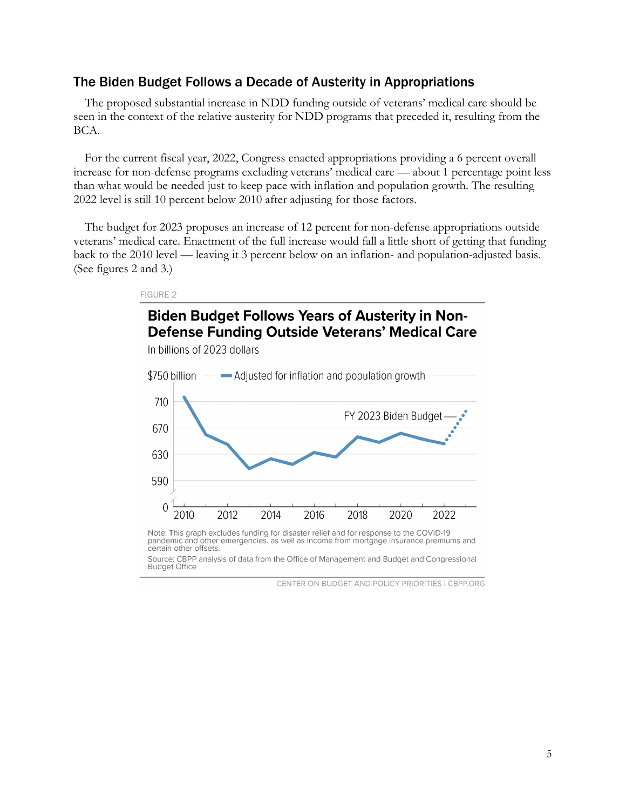### The Biden Budget Follows a Decade of Austerity in Appropriations

FIGURE 2

The proposed substantial increase in NDD funding outside of veterans' medical care should be seen in the context of the relative austerity for NDD programs that preceded it, resulting from the BCA.

For the current fiscal year, 2022, Congress enacted appropriations providing a 6 percent overall increase for non-defense programs excluding veterans' medical care — about 1 percentage point less than what would be needed just to keep pace with inflation and population growth. The resulting 2022 level is still 10 percent below 2010 after adjusting for those factors.

The budget for 2023 proposes an increase of 12 percent for non-defense appropriations outside veterans' medical care. Enactment of the full increase would fall a little short of getting that funding back to the 2010 level — leaving it 3 percent below on an inflation- and population-adjusted basis. (See figures 2 and 3.)



Note: This graph excludes funding for disaster relief and for response to the COVID-19 pandemic and other emergencies, as well as income from mortgage insurance premiums and certain other offsets

Source: CBPP analysis of data from the Office of Management and Budget and Congressional **Budget Office** 

CENTER ON BUDGET AND POLICY PRIORITIES | CBPP.ORG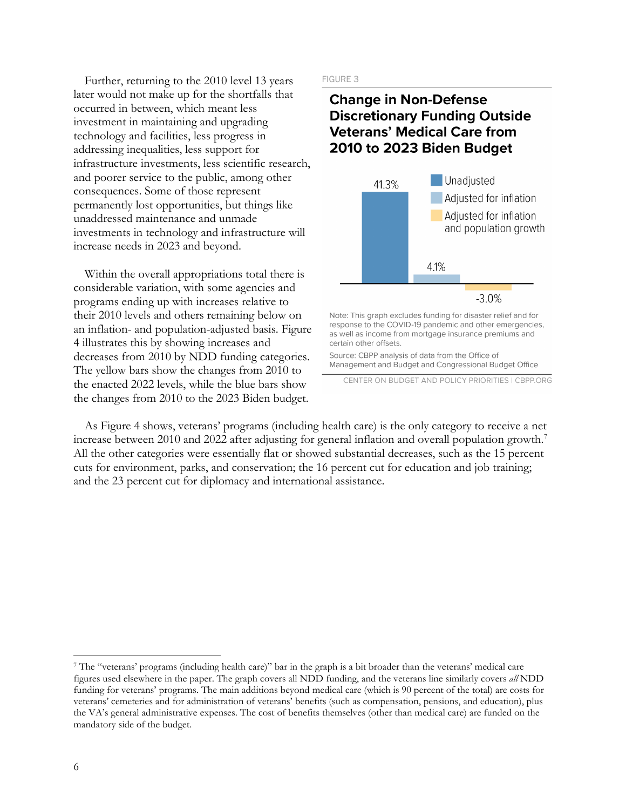Further, returning to the 2010 level 13 years later would not make up for the shortfalls that occurred in between, which meant less investment in maintaining and upgrading technology and facilities, less progress in addressing inequalities, less support for infrastructure investments, less scientific research, and poorer service to the public, among other consequences. Some of those represent permanently lost opportunities, but things like unaddressed maintenance and unmade investments in technology and infrastructure will increase needs in 2023 and beyond.

Within the overall appropriations total there is considerable variation, with some agencies and programs ending up with increases relative to their 2010 levels and others remaining below on an inflation- and population-adjusted basis. Figure 4 illustrates this by showing increases and decreases from 2010 by NDD funding categories. The yellow bars show the changes from 2010 to the enacted 2022 levels, while the blue bars show the changes from 2010 to the 2023 Biden budget.

#### FIGURE 3

# **Change in Non-Defense Discretionary Funding Outside Veterans' Medical Care from** 2010 to 2023 Biden Budget



response to the COVID-19 pandemic and other emergencies, as well as income from mortgage insurance premiums and certain other offsets.

Source: CBPP analysis of data from the Office of Management and Budget and Congressional Budget Office

CENTER ON BUDGET AND POLICY PRIORITIES | CBPP.ORG

As Figure 4 shows, veterans' programs (including health care) is the only category to receive a net increase between 2010 and 2022 after adjusting for general inflation and overall population growth.<sup>[7](#page-5-0)</sup> All the other categories were essentially flat or showed substantial decreases, such as the 15 percent cuts for environment, parks, and conservation; the 16 percent cut for education and job training; and the 23 percent cut for diplomacy and international assistance.

<span id="page-5-0"></span><sup>7</sup> The "veterans' programs (including health care)" bar in the graph is a bit broader than the veterans' medical care figures used elsewhere in the paper. The graph covers all NDD funding, and the veterans line similarly covers *all* NDD funding for veterans' programs. The main additions beyond medical care (which is 90 percent of the total) are costs for veterans' cemeteries and for administration of veterans' benefits (such as compensation, pensions, and education), plus the VA's general administrative expenses. The cost of benefits themselves (other than medical care) are funded on the mandatory side of the budget.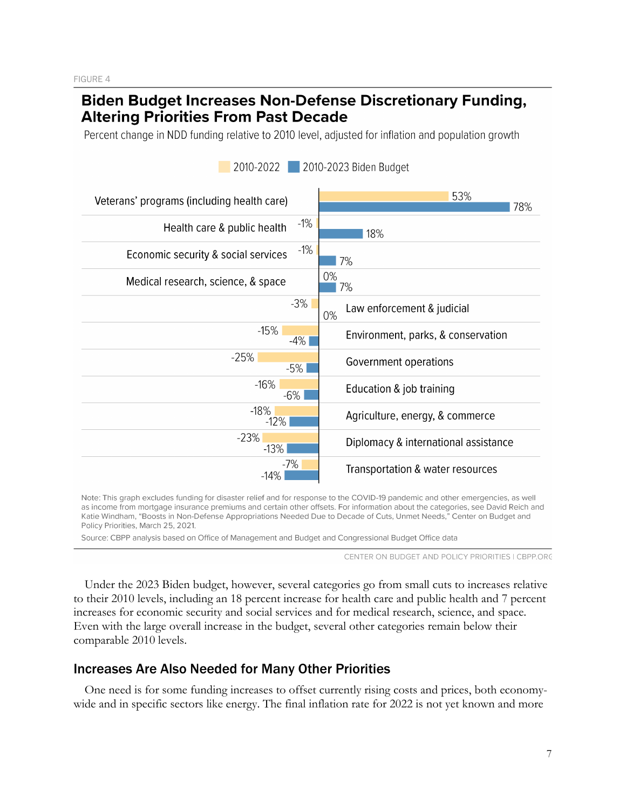# **Biden Budget Increases Non-Defense Discretionary Funding, Altering Priorities From Past Decade**

Percent change in NDD funding relative to 2010 level, adjusted for inflation and population growth



2010-2022 2010-2023 Biden Budget

Note: This graph excludes funding for disaster relief and for response to the COVID-19 pandemic and other emergencies, as well as income from mortgage insurance premiums and certain other offsets. For information about the categories, see David Reich and Katie Windham, "Boosts in Non-Defense Appropriations Needed Due to Decade of Cuts, Unmet Needs," Center on Budget and Policy Priorities, March 25, 2021.

Source: CBPP analysis based on Office of Management and Budget and Congressional Budget Office data

CENTER ON BUDGET AND POLICY PRIORITIES I CBPP.ORG

Under the 2023 Biden budget, however, several categories go from small cuts to increases relative to their 2010 levels, including an 18 percent increase for health care and public health and 7 percent increases for economic security and social services and for medical research, science, and space. Even with the large overall increase in the budget, several other categories remain below their comparable 2010 levels.

## Increases Are Also Needed for Many Other Priorities

One need is for some funding increases to offset currently rising costs and prices, both economywide and in specific sectors like energy. The final inflation rate for 2022 is not yet known and more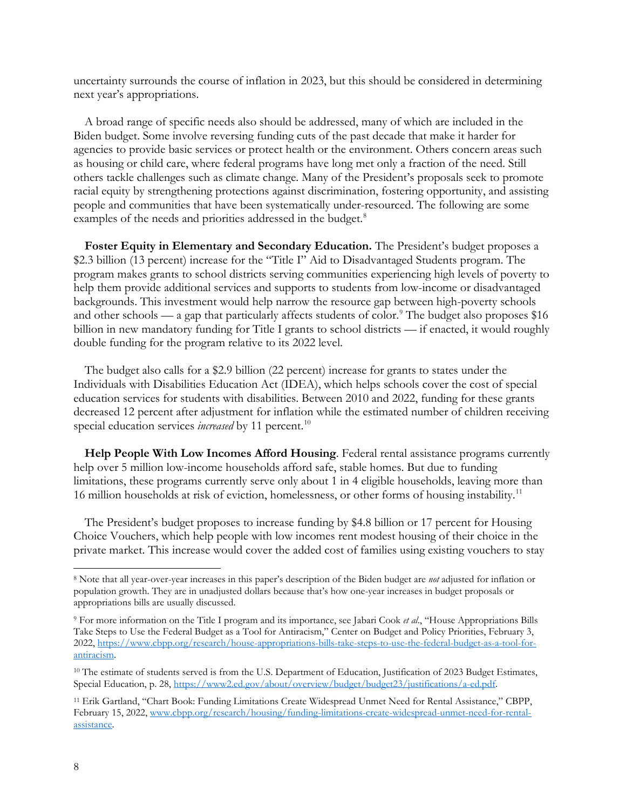uncertainty surrounds the course of inflation in 2023, but this should be considered in determining next year's appropriations.

A broad range of specific needs also should be addressed, many of which are included in the Biden budget. Some involve reversing funding cuts of the past decade that make it harder for agencies to provide basic services or protect health or the environment. Others concern areas such as housing or child care, where federal programs have long met only a fraction of the need. Still others tackle challenges such as climate change. Many of the President's proposals seek to promote racial equity by strengthening protections against discrimination, fostering opportunity, and assisting people and communities that have been systematically under-resourced. The following are some examples of the needs and priorities addressed in the budget.<sup>8</sup>

**Foster Equity in Elementary and Secondary Education.** The President's budget proposes a \$2.3 billion (13 percent) increase for the "Title I" Aid to Disadvantaged Students program. The program makes grants to school districts serving communities experiencing high levels of poverty to help them provide additional services and supports to students from low-income or disadvantaged backgrounds. This investment would help narrow the resource gap between high-poverty schools and other schools — a gap that particularly affects students of color.<sup>[9](#page-7-1)</sup> The budget also proposes \$16 billion in new mandatory funding for Title I grants to school districts — if enacted, it would roughly double funding for the program relative to its 2022 level.

The budget also calls for a \$2.9 billion (22 percent) increase for grants to states under the Individuals with Disabilities Education Act (IDEA), which helps schools cover the cost of special education services for students with disabilities. Between 2010 and 2022, funding for these grants decreased 12 percent after adjustment for inflation while the estimated number of children receiving special education services *increased* by 11 percent.<sup>10</sup>

**Help People With Low Incomes Afford Housing**. Federal rental assistance programs currently help over 5 million low-income households afford safe, stable homes. But due to funding limitations, these programs currently serve only about 1 in 4 eligible households, leaving more than 16 million households at risk of eviction, homelessness, or other forms of housing instability.<sup>[11](#page-7-3)</sup>

The President's budget proposes to increase funding by \$4.8 billion or 17 percent for Housing Choice Vouchers, which help people with low incomes rent modest housing of their choice in the private market. This increase would cover the added cost of families using existing vouchers to stay

<span id="page-7-0"></span><sup>8</sup> Note that all year-over-year increases in this paper's description of the Biden budget are *not* adjusted for inflation or population growth. They are in unadjusted dollars because that's how one-year increases in budget proposals or appropriations bills are usually discussed.

<span id="page-7-1"></span><sup>9</sup> For more information on the Title I program and its importance, see Jabari Cook *et al*., "House Appropriations Bills Take Steps to Use the Federal Budget as a Tool for Antiracism," Center on Budget and Policy Priorities, February 3, 2022, [https://www.cbpp.org/research/house-appropriations-bills-take-steps-to-use-the-federal-budget-as-a-tool-for](https://www.cbpp.org/research/house-appropriations-bills-take-steps-to-use-the-federal-budget-as-a-tool-for-antiracism)[antiracism.](https://www.cbpp.org/research/house-appropriations-bills-take-steps-to-use-the-federal-budget-as-a-tool-for-antiracism) 

<span id="page-7-2"></span><sup>&</sup>lt;sup>10</sup> The estimate of students served is from the U.S. Department of Education, Justification of 2023 Budget Estimates, Special Education, p. 28, [https://www2.ed.gov/about/overview/budget/budget23/justifications/a-ed.pdf.](https://www2.ed.gov/about/overview/budget/budget23/justifications/a-ed.pdf) 

<span id="page-7-3"></span><sup>11</sup> Erik Gartland, "Chart Book: Funding Limitations Create Widespread Unmet Need for Rental Assistance," CBPP, February 15, 2022[, www.cbpp.org/research/housing/funding-limitations-create-widespread-unmet-need-for-rental](http://www.cbpp.org/research/housing/funding-limitations-create-widespread-unmet-need-for-rental-assistance)[assistance.](http://www.cbpp.org/research/housing/funding-limitations-create-widespread-unmet-need-for-rental-assistance)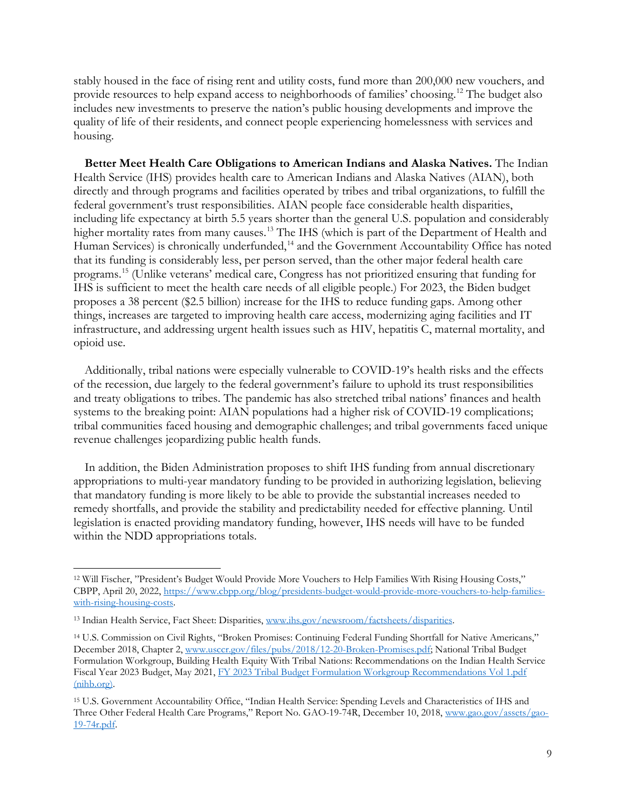stably housed in the face of rising rent and utility costs, fund more than 200,000 new vouchers, and provide resources to help expand access to neighborhoods of families' choosing.[12](#page-8-0) The budget also includes new investments to preserve the nation's public housing developments and improve the quality of life of their residents, and connect people experiencing homelessness with services and housing.

**Better Meet Health Care Obligations to American Indians and Alaska Natives.** The Indian Health Service (IHS) provides health care to American Indians and Alaska Natives (AIAN), both directly and through programs and facilities operated by tribes and tribal organizations, to fulfill the federal government's trust responsibilities. AIAN people face considerable health disparities, including life expectancy at birth 5.5 years shorter than the general U.S. population and considerably higher mortality rates from many causes.<sup>13</sup> The IHS (which is part of the Department of Health and Human Services) is chronically underfunded,<sup>[14](#page-8-2)</sup> and the Government Accountability Office has noted that its funding is considerably less, per person served, than the other major federal health care programs.[15](#page-8-3) (Unlike veterans' medical care, Congress has not prioritized ensuring that funding for IHS is sufficient to meet the health care needs of all eligible people.) For 2023, the Biden budget proposes a 38 percent (\$2.5 billion) increase for the IHS to reduce funding gaps. Among other things, increases are targeted to improving health care access, modernizing aging facilities and IT infrastructure, and addressing urgent health issues such as HIV, hepatitis C, maternal mortality, and opioid use.

Additionally, tribal nations were especially vulnerable to COVID-19's health risks and the effects of the recession, due largely to the federal government's [failure to uphold its trust responsibilities](https://www.usccr.gov/pubs/2018/12-20-Broken-Promises.pdf)  [and treaty obligations](https://www.usccr.gov/pubs/2018/12-20-Broken-Promises.pdf) to tribes. The pandemic has also stretched tribal nations' finances and health systems to the breaking point: AIAN populations had a higher risk of COVID-19 complications; tribal communities faced housing and demographic challenges; and tribal governments faced unique revenue challenges jeopardizing public health funds.

In addition, the Biden Administration proposes to shift IHS funding from annual discretionary appropriations to multi-year mandatory funding to be provided in authorizing legislation, believing that mandatory funding is more likely to be able to provide the substantial increases needed to remedy shortfalls, and provide the stability and predictability needed for effective planning. Until legislation is enacted providing mandatory funding, however, IHS needs will have to be funded within the NDD appropriations totals.

<span id="page-8-0"></span><sup>12</sup> Will Fischer, "President's Budget Would Provide More Vouchers to Help Families With Rising Housing Costs," CBPP, April 20, 2022, [https://www.cbpp.org/blog/presidents-budget-would-provide-more-vouchers-to-help-families](https://www.cbpp.org/blog/presidents-budget-would-provide-more-vouchers-to-help-families-with-rising-housing-costs)[with-rising-housing-costs.](https://www.cbpp.org/blog/presidents-budget-would-provide-more-vouchers-to-help-families-with-rising-housing-costs) 

<span id="page-8-1"></span><sup>13</sup> Indian Health Service, Fact Sheet: Disparities, [www.ihs.gov/newsroom/factsheets/disparities.](http://www.ihs.gov/newsroom/factsheets/disparities) 

<span id="page-8-2"></span><sup>14</sup> U.S. Commission on Civil Rights, "Broken Promises: Continuing Federal Funding Shortfall for Native Americans," December 2018, Chapter 2, [www.usccr.gov/files/pubs/2018/12-20-Broken-Promises.pdf;](http://www.usccr.gov/files/pubs/2018/12-20-Broken-Promises.pdf) National Tribal Budget Formulation Workgroup, Building Health Equity With Tribal Nations: Recommendations on the Indian Health Service Fiscal Year 2023 Budget, May 2021, [FY 2023 Tribal Budget Formulation Workgroup Recommendations Vol 1.pdf](https://www.nihb.org/docs/02072022/FY%202023%20Tribal%20Budget%20Formulation%20Workgroup%20Recommendations%20Vol%201.pdf)  [\(nihb.org\).](https://www.nihb.org/docs/02072022/FY%202023%20Tribal%20Budget%20Formulation%20Workgroup%20Recommendations%20Vol%201.pdf) 

<span id="page-8-3"></span><sup>15</sup> U.S. Government Accountability Office, "Indian Health Service: Spending Levels and Characteristics of IHS and Three Other Federal Health Care Programs," Report No. GAO-19-74R, December 10, 2018, [www.gao.gov/assets/gao-](http://www.gao.gov/assets/gao-19-74r.pdf)[19-74r.pdf.](http://www.gao.gov/assets/gao-19-74r.pdf)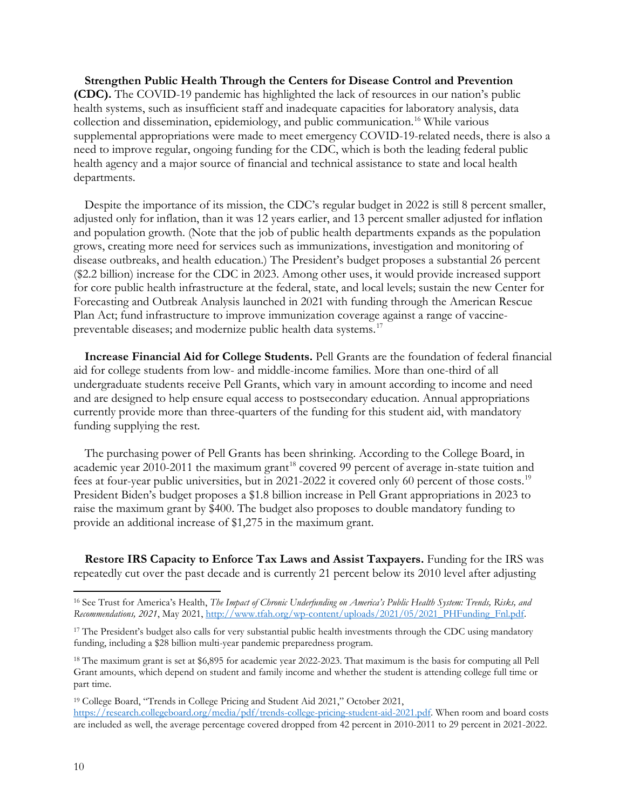**Strengthen Public Health Through the Centers for Disease Control and Prevention (CDC).** The COVID-19 pandemic has highlighted the lack of resources in our nation's public health systems, such as insufficient staff and inadequate capacities for laboratory analysis, data collection and dissemination, epidemiology, and public communication.[16](#page-9-0) While various supplemental appropriations were made to meet emergency COVID-19-related needs, there is also a need to improve regular, ongoing funding for the CDC, which is both the leading federal public health agency and a major source of financial and technical assistance to state and local health departments.

Despite the importance of its mission, the CDC's regular budget in 2022 is still 8 percent smaller, adjusted only for inflation, than it was 12 years earlier, and 13 percent smaller adjusted for inflation and population growth. (Note that the job of public health departments expands as the population grows, creating more need for services such as immunizations, investigation and monitoring of disease outbreaks, and health education.) The President's budget proposes a substantial 26 percent (\$2.2 billion) increase for the CDC in 2023. Among other uses, it would provide increased support for core public health infrastructure at the federal, state, and local levels; sustain the new Center for Forecasting and Outbreak Analysis launched in 2021 with funding through the American Rescue Plan Act; fund infrastructure to improve immunization coverage against a range of vaccinepreventable diseases; and modernize public health data systems.[17](#page-9-1)

**Increase Financial Aid for College Students.** Pell Grants are the foundation of federal financial aid for college students from low- and middle-income families. More than one-third of all undergraduate students receive Pell Grants, which vary in amount according to income and need and are designed to help ensure equal access to postsecondary education. Annual appropriations currently provide more than three-quarters of the funding for this student aid, with mandatory funding supplying the rest.

The purchasing power of Pell Grants has been shrinking. According to the College Board, in academic year 2010-2011 the maximum grant<sup>[18](#page-9-2)</sup> covered 99 percent of average in-state tuition and fees at four-year public universities, but in 2021-2022 it covered only 60 percent of those costs.[19](#page-9-3) President Biden's budget proposes a \$1.8 billion increase in Pell Grant appropriations in 2023 to raise the maximum grant by \$400. The budget also proposes to double mandatory funding to provide an additional increase of \$1,275 in the maximum grant.

**Restore IRS Capacity to Enforce Tax Laws and Assist Taxpayers.** Funding for the IRS was repeatedly cut over the past decade and is currently 21 percent below its 2010 level after adjusting

<span id="page-9-2"></span><sup>18</sup> The maximum grant is set at \$6,895 for academic year 2022-2023. That maximum is the basis for computing all Pell Grant amounts, which depend on student and family income and whether the student is attending college full time or part time.

<span id="page-9-3"></span><sup>19</sup> College Board, "Trends in College Pricing and Student Aid 2021," October 2021, [https://research.collegeboard.org/media/pdf/trends-college-pricing-student-aid-2021.pdf.](https://research.collegeboard.org/media/pdf/trends-college-pricing-student-aid-2021.pdf) When room and board costs are included as well, the average percentage covered dropped from 42 percent in 2010-2011 to 29 percent in 2021-2022.

<span id="page-9-0"></span><sup>16</sup> See Trust for America's Health, *The Impact of Chronic Underfunding on America's Public Health System: Trends, Risks, and Recommendations, 2021*, May 2021, [http://www.tfah.org/wp-content/uploads/2021/05/2021\\_PHFunding\\_Fnl.pdf.](http://www.tfah.org/wp-content/uploads/2021/05/2021_PHFunding_Fnl.pdf) 

<span id="page-9-1"></span><sup>&</sup>lt;sup>17</sup> The President's budget also calls for very substantial public health investments through the CDC using mandatory funding, including a \$28 billion multi-year pandemic preparedness program.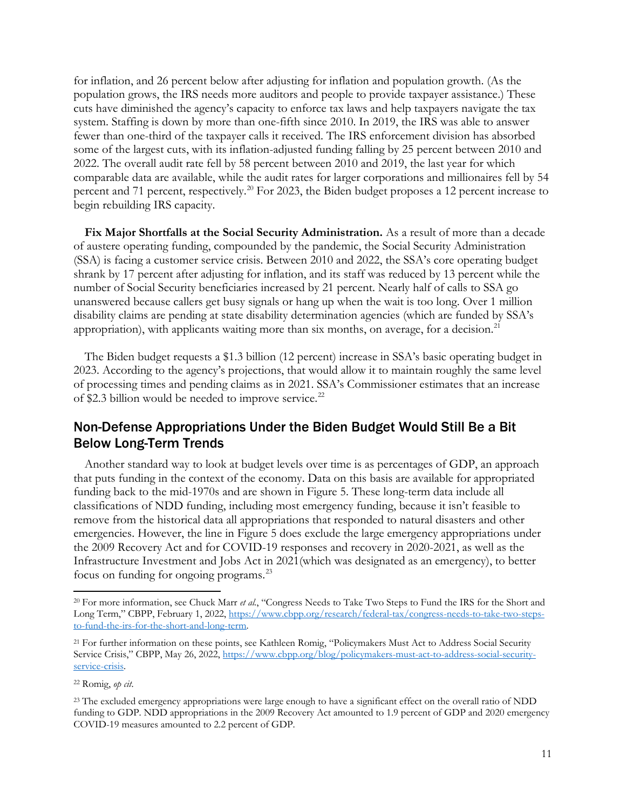for inflation, and 26 percent below after adjusting for inflation and population growth. (As the population grows, the IRS needs more auditors and people to provide taxpayer assistance.) These cuts have diminished the agency's capacity to enforce tax laws and help taxpayers navigate the tax system. Staffing is down by more than one-fifth since 2010. In 2019, the IRS was able to answer fewer than one-third of the taxpayer calls it received. The IRS enforcement division has absorbed some of the largest cuts, with its inflation-adjusted funding falling by 25 percent between 2010 and 2022. The overall audit rate fell by 58 percent between 2010 and 2019, the last year for which comparable data are available, while the audit rates for larger corporations and millionaires fell by 54 percent and 71 percent, respectively.<sup>[20](#page-10-0)</sup> For 2023, the Biden budget proposes a 12 percent increase to begin rebuilding IRS capacity.

**Fix Major Shortfalls at the Social Security Administration.** As a result of more than a decade of austere operating funding, compounded by the pandemic, the Social Security Administration (SSA) is facing a customer service crisis. Between 2010 and 2022, the SSA's core operating budget shrank by 17 percent after adjusting for inflation, and its staff was reduced by 13 percent while the number of Social Security beneficiaries increased by 21 percent. Nearly half of calls to SSA go unanswered because callers get busy signals or hang up when the wait is too long. Over 1 million disability claims are pending at state disability determination agencies (which are funded by SSA's appropriation), with applicants waiting more than six months, on average, for a decision.<sup>[21](#page-10-1)</sup>

The Biden budget requests a \$1.3 billion (12 percent) increase in SSA's basic operating budget in 2023. According to the agency's projections, that would allow it to maintain roughly the same level of processing times and pending claims as in 2021. SSA's Commissioner estimates that an increase of \$2.3 billion would be needed to improve service.<sup>[22](#page-10-2)</sup>

## Non-Defense Appropriations Under the Biden Budget Would Still Be a Bit Below Long-Term Trends

Another standard way to look at budget levels over time is as percentages of GDP, an approach that puts funding in the context of the economy. Data on this basis are available for appropriated funding back to the mid-1970s and are shown in Figure 5. These long-term data include all classifications of NDD funding, including most emergency funding, because it isn't feasible to remove from the historical data all appropriations that responded to natural disasters and other emergencies. However, the line in Figure 5 does exclude the large emergency appropriations under the 2009 Recovery Act and for COVID-19 responses and recovery in 2020-2021, as well as the Infrastructure Investment and Jobs Act in 2021(which was designated as an emergency), to better focus on funding for ongoing programs.[23](#page-10-3)

<span id="page-10-0"></span><sup>20</sup> For more information, see Chuck Marr *et al.*, "Congress Needs to Take Two Steps to Fund the IRS for the Short and Long Term," CBPP, February 1, 2022, [https://www.cbpp.org/research/federal-tax/congress-needs-to-take-two-steps](https://www.cbpp.org/research/federal-tax/congress-needs-to-take-two-steps-to-fund-the-irs-for-the-short-and-long-term)[to-fund-the-irs-for-the-short-and-long-term.](https://www.cbpp.org/research/federal-tax/congress-needs-to-take-two-steps-to-fund-the-irs-for-the-short-and-long-term)

<span id="page-10-1"></span><sup>&</sup>lt;sup>21</sup> For further information on these points, see Kathleen Romig, "Policymakers Must Act to Address Social Security Service Crisis," CBPP, May 26, 2022, [https://www.cbpp.org/blog/policymakers-must-act-to-address-social-security](https://www.cbpp.org/blog/policymakers-must-act-to-address-social-security-service-crisis)[service-crisis.](https://www.cbpp.org/blog/policymakers-must-act-to-address-social-security-service-crisis)

<span id="page-10-2"></span><sup>22</sup> Romig, *op cit*.

<span id="page-10-3"></span><sup>&</sup>lt;sup>23</sup> The excluded emergency appropriations were large enough to have a significant effect on the overall ratio of NDD funding to GDP. NDD appropriations in the 2009 Recovery Act amounted to 1.9 percent of GDP and 2020 emergency COVID-19 measures amounted to 2.2 percent of GDP.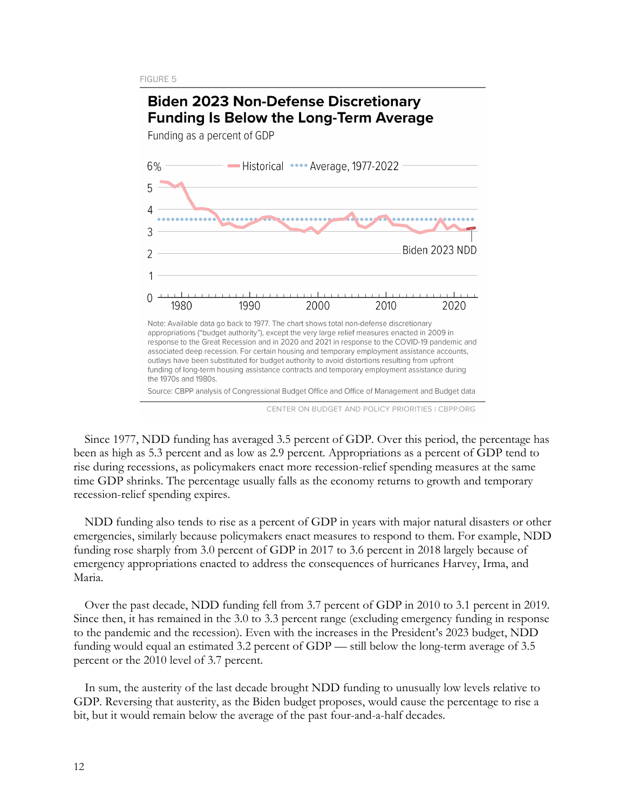

CENTER ON BUDGET AND POLICY PRIORITIES I CBPP.ORG

Since 1977, NDD funding has averaged 3.5 percent of GDP. Over this period, the percentage has been as high as 5.3 percent and as low as 2.9 percent. Appropriations as a percent of GDP tend to rise during recessions, as policymakers enact more recession-relief spending measures at the same time GDP shrinks. The percentage usually falls as the economy returns to growth and temporary recession-relief spending expires.

NDD funding also tends to rise as a percent of GDP in years with major natural disasters or other emergencies, similarly because policymakers enact measures to respond to them. For example, NDD funding rose sharply from 3.0 percent of GDP in 2017 to 3.6 percent in 2018 largely because of emergency appropriations enacted to address the consequences of hurricanes Harvey, Irma, and Maria.

Over the past decade, NDD funding fell from 3.7 percent of GDP in 2010 to 3.1 percent in 2019. Since then, it has remained in the 3.0 to 3.3 percent range (excluding emergency funding in response to the pandemic and the recession). Even with the increases in the President's 2023 budget, NDD funding would equal an estimated 3.2 percent of GDP — still below the long-term average of 3.5 percent or the 2010 level of 3.7 percent.

In sum, the austerity of the last decade brought NDD funding to unusually low levels relative to GDP. Reversing that austerity, as the Biden budget proposes, would cause the percentage to rise a bit, but it would remain below the average of the past four-and-a-half decades.